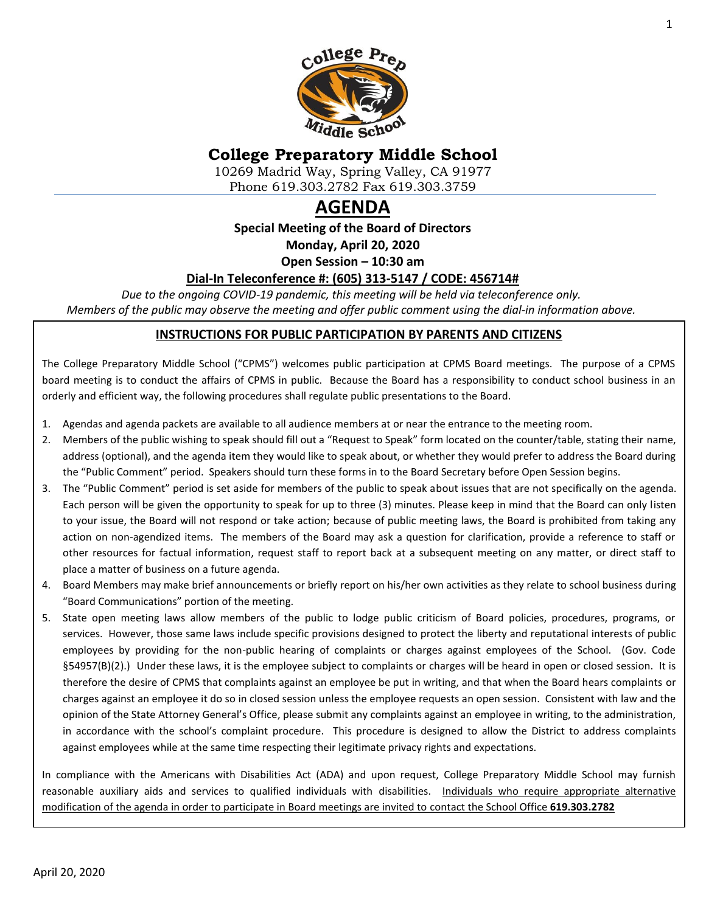

# **College Preparatory Middle School**

10269 Madrid Way, Spring Valley, CA 91977 Phone 619.303.2782 Fax 619.303.3759

# **AGENDA**

**Special Meeting of the Board of Directors**

**Monday, April 20, 2020**

**Open Session – 10:30 am**

#### **Dial-In Teleconference #: (605) 313-5147 / CODE: 456714#**

*Due to the ongoing COVID-19 pandemic, this meeting will be held via teleconference only. Members of the public may observe the meeting and offer public comment using the dial-in information above.*

#### **INSTRUCTIONS FOR PUBLIC PARTICIPATION BY PARENTS AND CITIZENS**

The College Preparatory Middle School ("CPMS") welcomes public participation at CPMS Board meetings. The purpose of a CPMS board meeting is to conduct the affairs of CPMS in public. Because the Board has a responsibility to conduct school business in an orderly and efficient way, the following procedures shall regulate public presentations to the Board.

- 1. Agendas and agenda packets are available to all audience members at or near the entrance to the meeting room.
- 2. Members of the public wishing to speak should fill out a "Request to Speak" form located on the counter/table, stating their name, address (optional), and the agenda item they would like to speak about, or whether they would prefer to address the Board during the "Public Comment" period. Speakers should turn these forms in to the Board Secretary before Open Session begins.
- 3. The "Public Comment" period is set aside for members of the public to speak about issues that are not specifically on the agenda. Each person will be given the opportunity to speak for up to three (3) minutes. Please keep in mind that the Board can only listen to your issue, the Board will not respond or take action; because of public meeting laws, the Board is prohibited from taking any action on non-agendized items. The members of the Board may ask a question for clarification, provide a reference to staff or other resources for factual information, request staff to report back at a subsequent meeting on any matter, or direct staff to place a matter of business on a future agenda.
- 4. Board Members may make brief announcements or briefly report on his/her own activities as they relate to school business during "Board Communications" portion of the meeting.
- 5. State open meeting laws allow members of the public to lodge public criticism of Board policies, procedures, programs, or services. However, those same laws include specific provisions designed to protect the liberty and reputational interests of public employees by providing for the non-public hearing of complaints or charges against employees of the School. (Gov. Code §54957(B)(2).) Under these laws, it is the employee subject to complaints or charges will be heard in open or closed session. It is therefore the desire of CPMS that complaints against an employee be put in writing, and that when the Board hears complaints or charges against an employee it do so in closed session unless the employee requests an open session. Consistent with law and the opinion of the State Attorney General's Office, please submit any complaints against an employee in writing, to the administration, in accordance with the school's complaint procedure. This procedure is designed to allow the District to address complaints against employees while at the same time respecting their legitimate privacy rights and expectations.

In compliance with the Americans with Disabilities Act (ADA) and upon request, College Preparatory Middle School may furnish reasonable auxiliary aids and services to qualified individuals with disabilities. Individuals who require appropriate alternative modification of the agenda in order to participate in Board meetings are invited to contact the School Office **619.303.2782**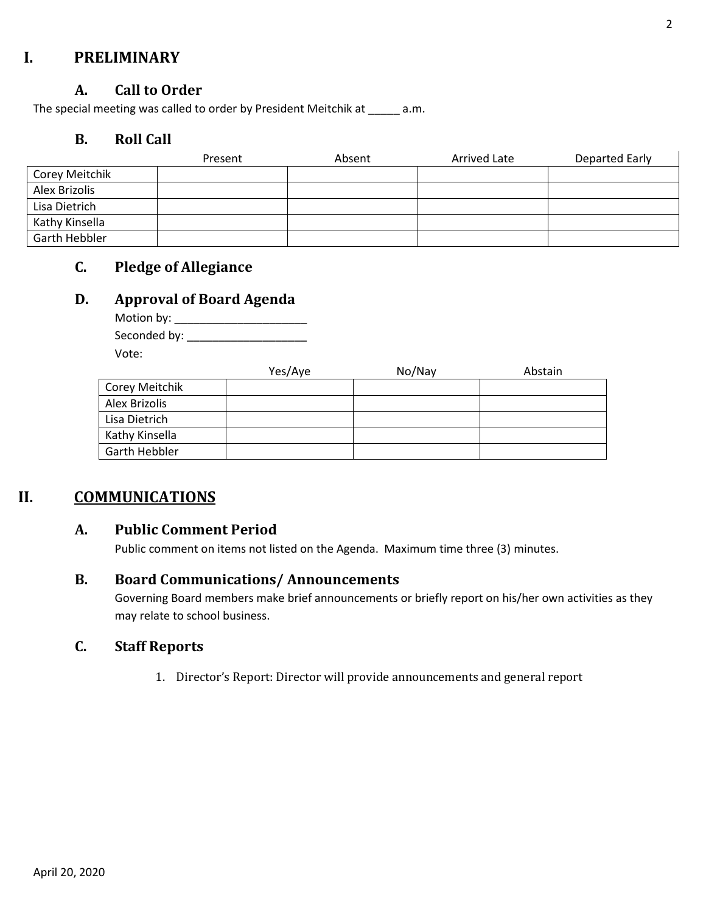# **I. PRELIMINARY**

#### **A. Call to Order**

The special meeting was called to order by President Meitchik at \_\_\_\_\_ a.m.

#### **B. Roll Call**

|                | Present | Absent | <b>Arrived Late</b> | Departed Early |
|----------------|---------|--------|---------------------|----------------|
| Corey Meitchik |         |        |                     |                |
| Alex Brizolis  |         |        |                     |                |
| Lisa Dietrich  |         |        |                     |                |
| Kathy Kinsella |         |        |                     |                |
| Garth Hebbler  |         |        |                     |                |

# **C. Pledge of Allegiance**

#### **D. Approval of Board Agenda**

Motion by: \_\_\_\_\_\_\_\_\_\_\_\_\_\_\_\_\_\_\_\_\_ Seconded by: \_\_\_\_\_\_\_\_\_\_\_\_\_\_\_\_\_\_\_ Vote:

|                | Yes/Aye | No/Nay | Abstain |
|----------------|---------|--------|---------|
| Corey Meitchik |         |        |         |
| Alex Brizolis  |         |        |         |
| Lisa Dietrich  |         |        |         |
| Kathy Kinsella |         |        |         |
| Garth Hebbler  |         |        |         |

# **II. COMMUNICATIONS**

#### **A. Public Comment Period**

Public comment on items not listed on the Agenda. Maximum time three (3) minutes.

#### **B. Board Communications/ Announcements**

Governing Board members make brief announcements or briefly report on his/her own activities as they may relate to school business.

### **C. Staff Reports**

1. Director's Report: Director will provide announcements and general report